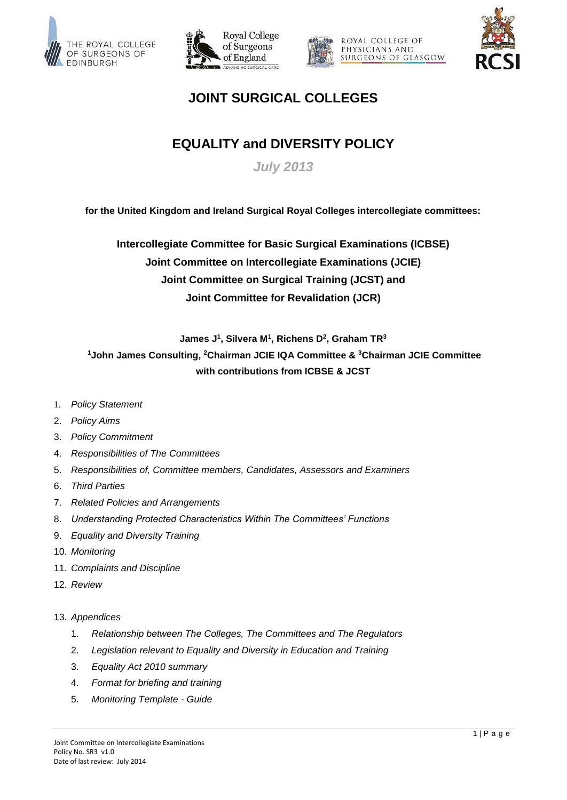







# **JOINT SURGICAL COLLEGES**

# **EQUALITY and DIVERSITY POLICY**

*July 2013*

**for the United Kingdom and Ireland Surgical Royal Colleges intercollegiate committees:**

**Intercollegiate Committee for Basic Surgical Examinations (ICBSE) Joint Committee on Intercollegiate Examinations (JCIE) Joint Committee on Surgical Training (JCST) and Joint Committee for Revalidation (JCR)**

**James J<sup>1</sup> , Silvera M<sup>1</sup> , Richens D<sup>2</sup> , Graham TR<sup>3</sup>**

**<sup>1</sup>John James Consulting, <sup>2</sup>Chairman JCIE IQA Committee & <sup>3</sup>Chairman JCIE Committee with contributions from ICBSE & JCST**

- 1. *Policy Statement*
- 2. *Policy Aims*
- 3. *Policy Commitment*
- 4. *Responsibilities of The Committees*
- 5. *Responsibilities of, Committee members, Candidates, Assessors and Examiners*
- 6. *Third Parties*
- 7. *Related Policies and Arrangements*
- 8. *Understanding Protected Characteristics Within The Committees' Functions*
- 9. *Equality and Diversity Training*
- 10. *Monitoring*
- 11. *Complaints and Discipline*
- 12. *Review*
- 13. *Appendices*
	- 1. *Relationship between The Colleges, The Committees and The Regulators*
	- 2. *Legislation relevant to Equality and Diversity in Education and Training*
	- 3. *Equality Act 2010 summary*
	- 4. *Format for briefing and training*
	- 5. *Monitoring Template - Guide*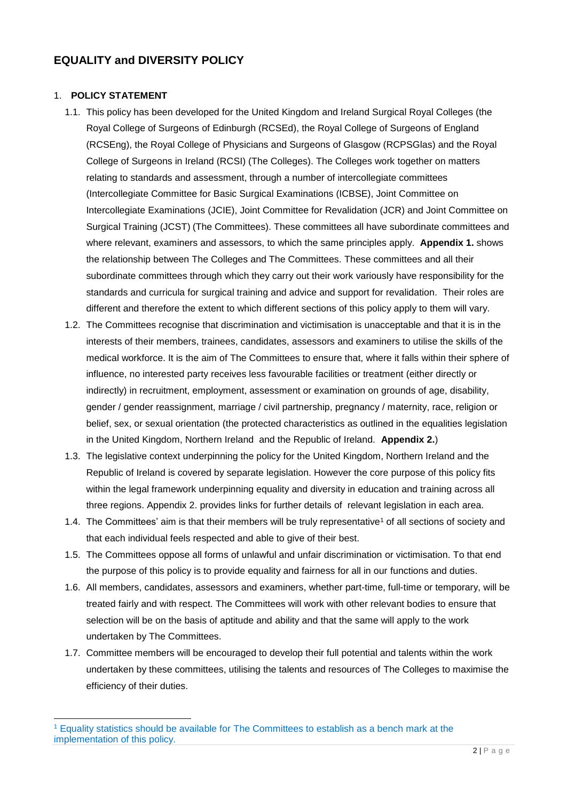# **EQUALITY and DIVERSITY POLICY**

# 1. **POLICY STATEMENT**

- 1.1. This policy has been developed for the United Kingdom and Ireland Surgical Royal Colleges (the Royal College of Surgeons of Edinburgh (RCSEd), the Royal College of Surgeons of England (RCSEng), the Royal College of Physicians and Surgeons of Glasgow (RCPSGlas) and the Royal College of Surgeons in Ireland (RCSI) (The Colleges). The Colleges work together on matters relating to standards and assessment, through a number of intercollegiate committees (Intercollegiate Committee for Basic Surgical Examinations (ICBSE), Joint Committee on Intercollegiate Examinations (JCIE), Joint Committee for Revalidation (JCR) and Joint Committee on Surgical Training (JCST) (The Committees). These committees all have subordinate committees and where relevant, examiners and assessors, to which the same principles apply. **Appendix 1.** shows the relationship between The Colleges and The Committees. These committees and all their subordinate committees through which they carry out their work variously have responsibility for the standards and curricula for surgical training and advice and support for revalidation. Their roles are different and therefore the extent to which different sections of this policy apply to them will vary.
- 1.2. The Committees recognise that discrimination and victimisation is unacceptable and that it is in the interests of their members, trainees, candidates, assessors and examiners to utilise the skills of the medical workforce. It is the aim of The Committees to ensure that, where it falls within their sphere of influence, no interested party receives less favourable facilities or treatment (either directly or indirectly) in recruitment, employment, assessment or examination on grounds of age, disability, gender / gender reassignment, marriage / civil partnership, pregnancy / maternity, race, religion or belief, sex, or sexual orientation (the protected characteristics as outlined in the equalities legislation in the United Kingdom, Northern Ireland and the Republic of Ireland. **Appendix 2.**)
- 1.3. The legislative context underpinning the policy for the United Kingdom, Northern Ireland and the Republic of Ireland is covered by separate legislation. However the core purpose of this policy fits within the legal framework underpinning equality and diversity in education and training across all three regions. Appendix 2. provides links for further details of relevant legislation in each area.
- 1.4. The Committees' aim is that their members will be truly representative<sup>1</sup> of all sections of society and that each individual feels respected and able to give of their best.
- 1.5. The Committees oppose all forms of unlawful and unfair discrimination or victimisation. To that end the purpose of this policy is to provide equality and fairness for all in our functions and duties.
- 1.6. All members, candidates, assessors and examiners, whether part-time, full-time or temporary, will be treated fairly and with respect. The Committees will work with other relevant bodies to ensure that selection will be on the basis of aptitude and ability and that the same will apply to the work undertaken by The Committees.
- 1.7. Committee members will be encouraged to develop their full potential and talents within the work undertaken by these committees, utilising the talents and resources of The Colleges to maximise the efficiency of their duties.

<sup>1</sup> <sup>1</sup> Equality statistics should be available for The Committees to establish as a bench mark at the implementation of this policy.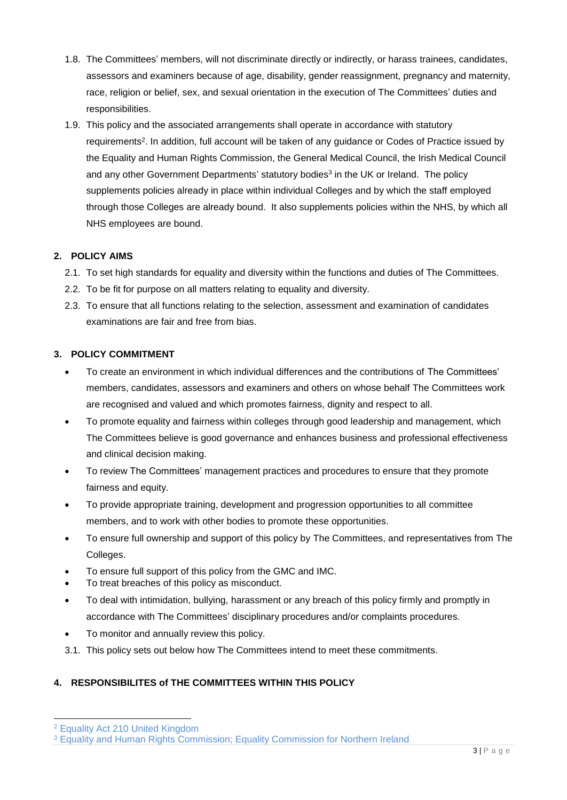- 1.8. The Committees' members, will not discriminate directly or indirectly, or harass trainees, candidates, assessors and examiners because of age, disability, gender reassignment, pregnancy and maternity, race, religion or belief, sex, and sexual orientation in the execution of The Committees' duties and responsibilities.
- 1.9. This policy and the associated arrangements shall operate in accordance with statutory requirements<sup>2</sup>. In addition, full account will be taken of any guidance or Codes of Practice issued by the Equality and Human Rights Commission, the General Medical Council, the Irish Medical Council and any other Government Departments' statutory bodies<sup>3</sup> in the UK or Ireland. The policy supplements policies already in place within individual Colleges and by which the staff employed through those Colleges are already bound. It also supplements policies within the NHS, by which all NHS employees are bound.

# **2. POLICY AIMS**

- 2.1. To set high standards for equality and diversity within the functions and duties of The Committees.
- 2.2. To be fit for purpose on all matters relating to equality and diversity.
- 2.3. To ensure that all functions relating to the selection, assessment and examination of candidates examinations are fair and free from bias.

# **3. POLICY COMMITMENT**

- To create an environment in which individual differences and the contributions of The Committees' members, candidates, assessors and examiners and others on whose behalf The Committees work are recognised and valued and which promotes fairness, dignity and respect to all.
- To promote equality and fairness within colleges through good leadership and management, which The Committees believe is good governance and enhances business and professional effectiveness and clinical decision making.
- To review The Committees' management practices and procedures to ensure that they promote fairness and equity.
- To provide appropriate training, development and progression opportunities to all committee members, and to work with other bodies to promote these opportunities.
- To ensure full ownership and support of this policy by The Committees, and representatives from The Colleges.
- To ensure full support of this policy from the GMC and IMC.
- To treat breaches of this policy as misconduct.
- To deal with intimidation, bullying, harassment or any breach of this policy firmly and promptly in accordance with The Committees' disciplinary procedures and/or complaints procedures.
- To monitor and annually review this policy.
- 3.1. This policy sets out below how The Committees intend to meet these commitments.

# **4. RESPONSIBILITES of THE COMMITTEES WITHIN THIS POLICY**

1

<sup>2</sup> Equality Act 210 United Kingdom

<sup>&</sup>lt;sup>3</sup> Equality and Human Rights Commission; Equality Commission for Northern Ireland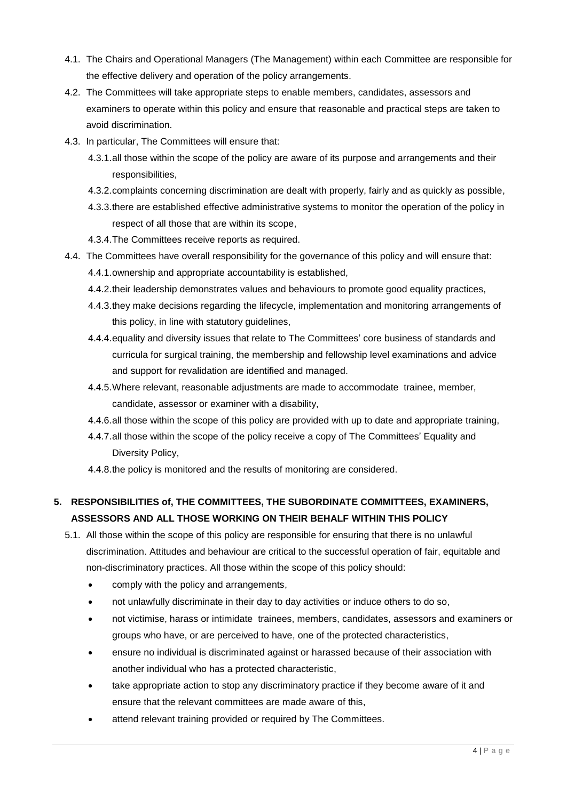- 4.1. The Chairs and Operational Managers (The Management) within each Committee are responsible for the effective delivery and operation of the policy arrangements.
- 4.2. The Committees will take appropriate steps to enable members, candidates, assessors and examiners to operate within this policy and ensure that reasonable and practical steps are taken to avoid discrimination.
- 4.3. In particular, The Committees will ensure that:
	- 4.3.1.all those within the scope of the policy are aware of its purpose and arrangements and their responsibilities,
	- 4.3.2.complaints concerning discrimination are dealt with properly, fairly and as quickly as possible,
	- 4.3.3.there are established effective administrative systems to monitor the operation of the policy in respect of all those that are within its scope,
	- 4.3.4.The Committees receive reports as required.
- 4.4. The Committees have overall responsibility for the governance of this policy and will ensure that:
	- 4.4.1.ownership and appropriate accountability is established,
	- 4.4.2.their leadership demonstrates values and behaviours to promote good equality practices,
	- 4.4.3.they make decisions regarding the lifecycle, implementation and monitoring arrangements of this policy, in line with statutory guidelines,
	- 4.4.4.equality and diversity issues that relate to The Committees' core business of standards and curricula for surgical training, the membership and fellowship level examinations and advice and support for revalidation are identified and managed.
	- 4.4.5.Where relevant, reasonable adjustments are made to accommodate trainee, member, candidate, assessor or examiner with a disability,
	- 4.4.6.all those within the scope of this policy are provided with up to date and appropriate training,
	- 4.4.7.all those within the scope of the policy receive a copy of The Committees' Equality and Diversity Policy,
	- 4.4.8.the policy is monitored and the results of monitoring are considered.

# **5. RESPONSIBILITIES of, THE COMMITTEES, THE SUBORDINATE COMMITTEES, EXAMINERS, ASSESSORS AND ALL THOSE WORKING ON THEIR BEHALF WITHIN THIS POLICY**

- 5.1. All those within the scope of this policy are responsible for ensuring that there is no unlawful discrimination. Attitudes and behaviour are critical to the successful operation of fair, equitable and non-discriminatory practices. All those within the scope of this policy should:
	- comply with the policy and arrangements,
	- not unlawfully discriminate in their day to day activities or induce others to do so,
	- not victimise, harass or intimidate trainees, members, candidates, assessors and examiners or groups who have, or are perceived to have, one of the protected characteristics,
	- ensure no individual is discriminated against or harassed because of their association with another individual who has a protected characteristic,
	- take appropriate action to stop any discriminatory practice if they become aware of it and ensure that the relevant committees are made aware of this,
	- attend relevant training provided or required by The Committees.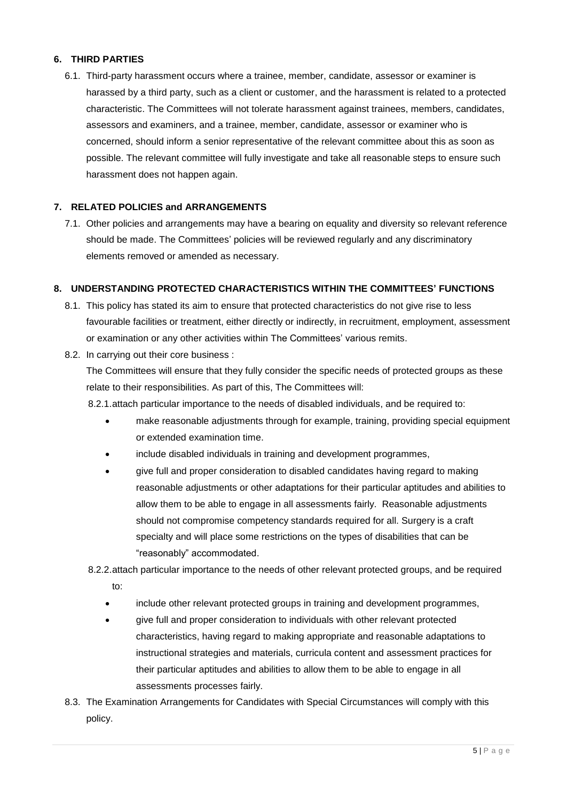# **6. THIRD PARTIES**

6.1. Third-party harassment occurs where a trainee, member, candidate, assessor or examiner is harassed by a third party, such as a client or customer, and the harassment is related to a protected characteristic. The Committees will not tolerate harassment against trainees, members, candidates, assessors and examiners, and a trainee, member, candidate, assessor or examiner who is concerned, should inform a senior representative of the relevant committee about this as soon as possible. The relevant committee will fully investigate and take all reasonable steps to ensure such harassment does not happen again.

# **7. RELATED POLICIES and ARRANGEMENTS**

7.1. Other policies and arrangements may have a bearing on equality and diversity so relevant reference should be made. The Committees' policies will be reviewed regularly and any discriminatory elements removed or amended as necessary.

# **8. UNDERSTANDING PROTECTED CHARACTERISTICS WITHIN THE COMMITTEES' FUNCTIONS**

- 8.1. This policy has stated its aim to ensure that protected characteristics do not give rise to less favourable facilities or treatment, either directly or indirectly, in recruitment, employment, assessment or examination or any other activities within The Committees' various remits.
- 8.2. In carrying out their core business :

The Committees will ensure that they fully consider the specific needs of protected groups as these relate to their responsibilities. As part of this, The Committees will:

8.2.1.attach particular importance to the needs of disabled individuals, and be required to:

- make reasonable adjustments through for example, training, providing special equipment or extended examination time.
- include disabled individuals in training and development programmes,
- give full and proper consideration to disabled candidates having regard to making reasonable adjustments or other adaptations for their particular aptitudes and abilities to allow them to be able to engage in all assessments fairly. Reasonable adjustments should not compromise competency standards required for all. Surgery is a craft specialty and will place some restrictions on the types of disabilities that can be "reasonably" accommodated.
- 8.2.2.attach particular importance to the needs of other relevant protected groups, and be required to:
	- include other relevant protected groups in training and development programmes,
	- give full and proper consideration to individuals with other relevant protected characteristics, having regard to making appropriate and reasonable adaptations to instructional strategies and materials, curricula content and assessment practices for their particular aptitudes and abilities to allow them to be able to engage in all assessments processes fairly.
- 8.3. The Examination Arrangements for Candidates with Special Circumstances will comply with this policy.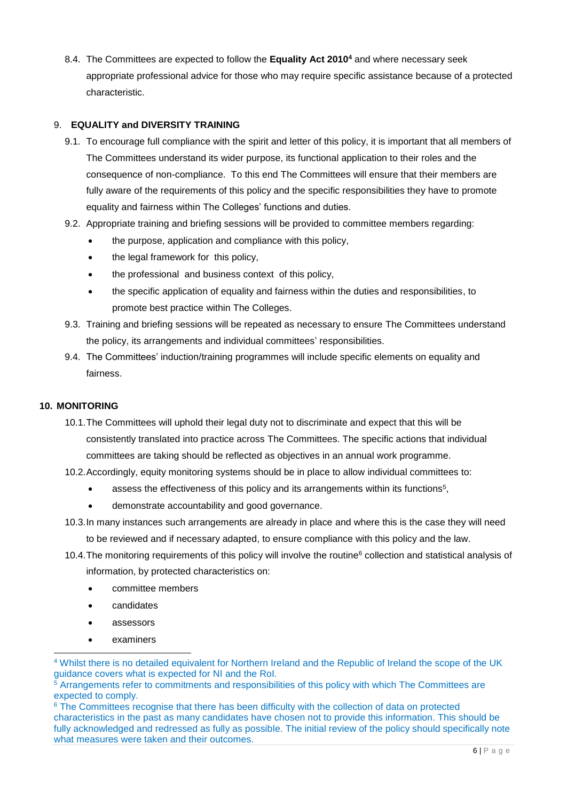8.4. The Committees are expected to follow the **Equality Act 2010<sup>4</sup>** and where necessary seek appropriate professional advice for those who may require specific assistance because of a protected characteristic.

# 9. **EQUALITY and DIVERSITY TRAINING**

- 9.1. To encourage full compliance with the spirit and letter of this policy, it is important that all members of The Committees understand its wider purpose, its functional application to their roles and the consequence of non-compliance. To this end The Committees will ensure that their members are fully aware of the requirements of this policy and the specific responsibilities they have to promote equality and fairness within The Colleges' functions and duties.
- 9.2. Appropriate training and briefing sessions will be provided to committee members regarding:
	- the purpose, application and compliance with this policy,
	- the legal framework for this policy,
	- the professional and business context of this policy,
	- the specific application of equality and fairness within the duties and responsibilities, to promote best practice within The Colleges.
- 9.3. Training and briefing sessions will be repeated as necessary to ensure The Committees understand the policy, its arrangements and individual committees' responsibilities.
- 9.4. The Committees' induction/training programmes will include specific elements on equality and fairness.

# **10. MONITORING**

- 10.1.The Committees will uphold their legal duty not to discriminate and expect that this will be consistently translated into practice across The Committees. The specific actions that individual committees are taking should be reflected as objectives in an annual work programme.
- 10.2.Accordingly, equity monitoring systems should be in place to allow individual committees to:
	- assess the effectiveness of this policy and its arrangements within its functions<sup>5</sup>,
	- demonstrate accountability and good governance.
- 10.3.In many instances such arrangements are already in place and where this is the case they will need to be reviewed and if necessary adapted, to ensure compliance with this policy and the law.
- 10.4. The monitoring requirements of this policy will involve the routine<sup>6</sup> collection and statistical analysis of information, by protected characteristics on:
	- committee members
	- candidates
	- assessors
	- examiners

1

<sup>4</sup> Whilst there is no detailed equivalent for Northern Ireland and the Republic of Ireland the scope of the UK guidance covers what is expected for NI and the RoI.

<sup>5</sup> Arrangements refer to commitments and responsibilities of this policy with which The Committees are expected to comply.

<sup>&</sup>lt;sup>6</sup> The Committees recognise that there has been difficulty with the collection of data on protected characteristics in the past as many candidates have chosen not to provide this information. This should be fully acknowledged and redressed as fully as possible. The initial review of the policy should specifically note what measures were taken and their outcomes.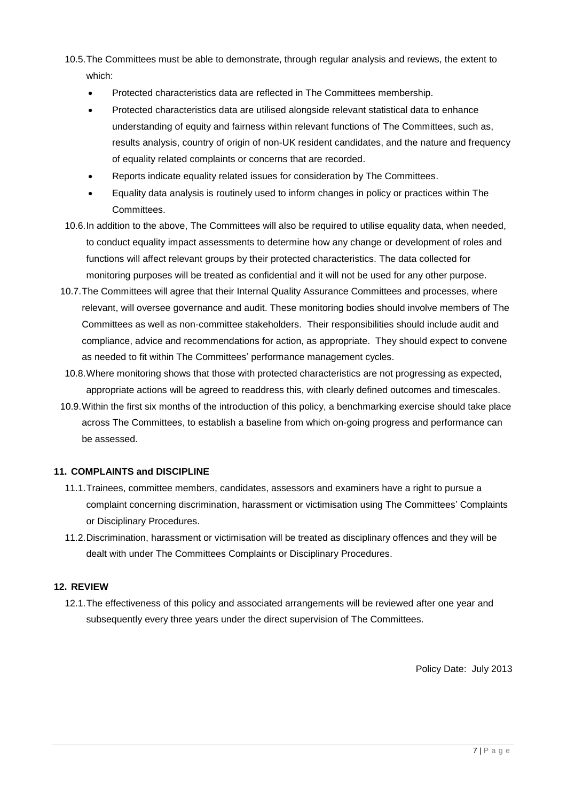10.5.The Committees must be able to demonstrate, through regular analysis and reviews, the extent to which:

- Protected characteristics data are reflected in The Committees membership.
- Protected characteristics data are utilised alongside relevant statistical data to enhance understanding of equity and fairness within relevant functions of The Committees, such as, results analysis, country of origin of non-UK resident candidates, and the nature and frequency of equality related complaints or concerns that are recorded.
- Reports indicate equality related issues for consideration by The Committees.
- Equality data analysis is routinely used to inform changes in policy or practices within The Committees.
- 10.6.In addition to the above, The Committees will also be required to utilise equality data, when needed, to conduct equality impact assessments to determine how any change or development of roles and functions will affect relevant groups by their protected characteristics. The data collected for monitoring purposes will be treated as confidential and it will not be used for any other purpose.
- 10.7.The Committees will agree that their Internal Quality Assurance Committees and processes, where relevant, will oversee governance and audit. These monitoring bodies should involve members of The Committees as well as non-committee stakeholders. Their responsibilities should include audit and compliance, advice and recommendations for action, as appropriate. They should expect to convene as needed to fit within The Committees' performance management cycles.
- 10.8.Where monitoring shows that those with protected characteristics are not progressing as expected, appropriate actions will be agreed to readdress this, with clearly defined outcomes and timescales.
- 10.9.Within the first six months of the introduction of this policy, a benchmarking exercise should take place across The Committees, to establish a baseline from which on-going progress and performance can be assessed.

# **11. COMPLAINTS and DISCIPLINE**

- 11.1.Trainees, committee members, candidates, assessors and examiners have a right to pursue a complaint concerning discrimination, harassment or victimisation using The Committees' Complaints or Disciplinary Procedures.
- 11.2.Discrimination, harassment or victimisation will be treated as disciplinary offences and they will be dealt with under The Committees Complaints or Disciplinary Procedures.

# **12. REVIEW**

12.1.The effectiveness of this policy and associated arrangements will be reviewed after one year and subsequently every three years under the direct supervision of The Committees.

Policy Date: July 2013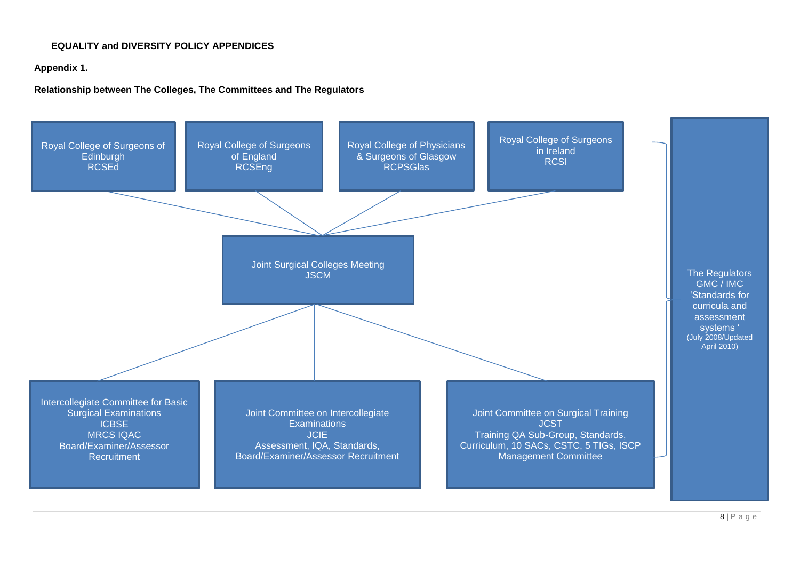# **EQUALITY and DIVERSITY POLICY APPENDICES**

# **Appendix 1.**

## **Relationship between The Colleges, The Committees and The Regulators**

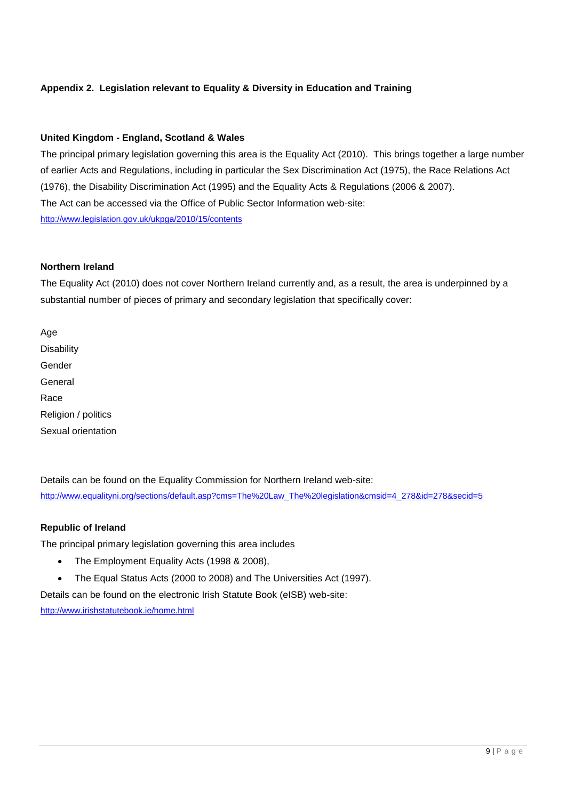# **Appendix 2. Legislation relevant to Equality & Diversity in Education and Training**

# **United Kingdom - England, Scotland & Wales**

The principal primary legislation governing this area is the Equality Act (2010). This brings together a large number of earlier Acts and Regulations, including in particular the Sex Discrimination Act (1975), the Race Relations Act (1976), the Disability Discrimination Act (1995) and the Equality Acts & Regulations (2006 & 2007). The Act can be accessed via the Office of Public Sector Information web-site: <http://www.legislation.gov.uk/ukpga/2010/15/contents>

### **Northern Ireland**

The Equality Act (2010) does not cover Northern Ireland currently and, as a result, the area is underpinned by a substantial number of pieces of primary and secondary legislation that specifically cover:

Age **Disability** Gender General Race Religion / politics Sexual orientation

Details can be found on the Equality Commission for Northern Ireland web-site: [http://www.equalityni.org/sections/default.asp?cms=The%20Law\\_The%20legislation&cmsid=4\\_278&id=278&secid=5](http://www.equalityni.org/sections/default.asp?cms=The%20Law_The%20legislation&cmsid=4_278&id=278&secid=5)

#### **Republic of Ireland**

The principal primary legislation governing this area includes

- The Employment Equality Acts (1998 & 2008),
- The Equal Status Acts (2000 to 2008) and The Universities Act (1997).

Details can be found on the electronic Irish Statute Book (eISB) web-site:

<http://www.irishstatutebook.ie/home.html>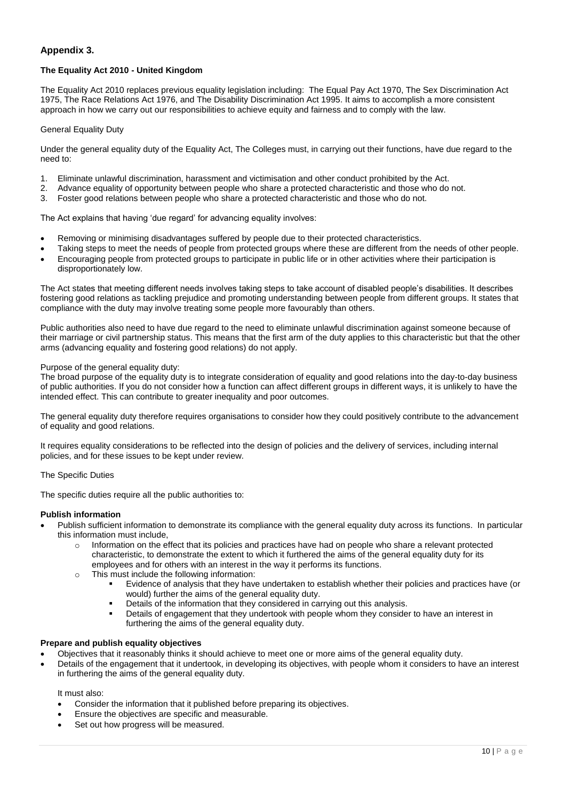# **Appendix 3.**

#### **The Equality Act 2010 - United Kingdom**

The Equality Act 2010 replaces previous equality legislation including: The Equal Pay Act 1970, The Sex Discrimination Act 1975, The Race Relations Act 1976, and The Disability Discrimination Act 1995. It aims to accomplish a more consistent approach in how we carry out our responsibilities to achieve equity and fairness and to comply with the law.

#### General Equality Duty

Under the general equality duty of the Equality Act, The Colleges must, in carrying out their functions, have due regard to the need to:

- 1. Eliminate unlawful discrimination, harassment and victimisation and other conduct prohibited by the Act.
- 2. Advance equality of opportunity between people who share a protected characteristic and those who do not.
- 3. Foster good relations between people who share a protected characteristic and those who do not.

The Act explains that having 'due regard' for advancing equality involves:

- Removing or minimising disadvantages suffered by people due to their protected characteristics.
- Taking steps to meet the needs of people from protected groups where these are different from the needs of other people.
- Encouraging people from protected groups to participate in public life or in other activities where their participation is disproportionately low.

The Act states that meeting different needs involves taking steps to take account of disabled people's disabilities. It describes fostering good relations as tackling prejudice and promoting understanding between people from different groups. It states that compliance with the duty may involve treating some people more favourably than others.

Public authorities also need to have due regard to the need to eliminate unlawful discrimination against someone because of their marriage or civil partnership status. This means that the first arm of the duty applies to this characteristic but that the other arms (advancing equality and fostering good relations) do not apply.

#### Purpose of the general equality duty:

The broad purpose of the equality duty is to integrate consideration of equality and good relations into the day-to-day business of public authorities. If you do not consider how a function can affect different groups in different ways, it is unlikely to have the intended effect. This can contribute to greater inequality and poor outcomes.

The general equality duty therefore requires organisations to consider how they could positively contribute to the advancement of equality and good relations.

It requires equality considerations to be reflected into the design of policies and the delivery of services, including internal policies, and for these issues to be kept under review.

The Specific Duties

The specific duties require all the public authorities to:

#### **Publish information**

- Publish sufficient information to demonstrate its compliance with the general equality duty across its functions. In particular this information must include,
	- o Information on the effect that its policies and practices have had on people who share a relevant protected characteristic, to demonstrate the extent to which it furthered the aims of the general equality duty for its employees and for others with an interest in the way it performs its functions.
	- o This must include the following information:
		- Evidence of analysis that they have undertaken to establish whether their policies and practices have (or would) further the aims of the general equality duty.
		- **Details of the information that they considered in carrying out this analysis.**
		- Details of engagement that they undertook with people whom they consider to have an interest in furthering the aims of the general equality duty.

#### **Prepare and publish equality objectives**

- Objectives that it reasonably thinks it should achieve to meet one or more aims of the general equality duty.
- Details of the engagement that it undertook, in developing its objectives, with people whom it considers to have an interest in furthering the aims of the general equality duty.

It must also:

- Consider the information that it published before preparing its objectives.
- Ensure the objectives are specific and measurable.
- Set out how progress will be measured.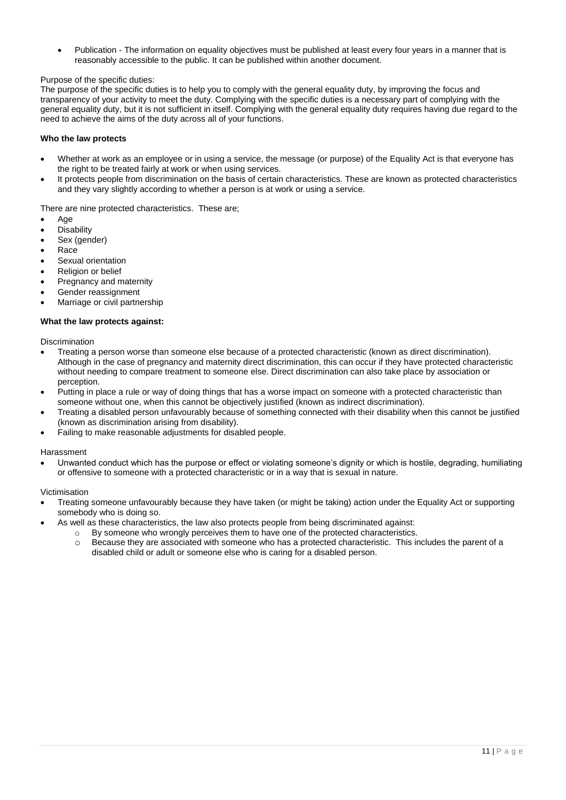Publication - The information on equality objectives must be published at least every four years in a manner that is reasonably accessible to the public. It can be published within another document.

#### Purpose of the specific duties:

The purpose of the specific duties is to help you to comply with the general equality duty, by improving the focus and transparency of your activity to meet the duty. Complying with the specific duties is a necessary part of complying with the general equality duty, but it is not sufficient in itself. Complying with the general equality duty requires having due regard to the need to achieve the aims of the duty across all of your functions.

#### **Who the law protects**

- Whether at work as an employee or in using a service, the message (or purpose) of the Equality Act is that everyone has the right to be treated fairly at work or when using services.
- It protects people from discrimination on the basis of certain characteristics. These are known as protected characteristics and they vary slightly according to whether a person is at work or using a service.

There are nine protected characteristics. These are;

- Age
- **Disability**
- Sex (gender)
- Race
- Sexual orientation
- Religion or belief
- Pregnancy and maternity
- Gender reassignment
- Marriage or civil partnership

#### **What the law protects against:**

#### **Discrimination**

- Treating a person worse than someone else because of a protected characteristic (known as direct discrimination). Although in the case of pregnancy and maternity direct discrimination, this can occur if they have protected characteristic without needing to compare treatment to someone else. Direct discrimination can also take place by association or perception.
- Putting in place a rule or way of doing things that has a worse impact on someone with a protected characteristic than someone without one, when this cannot be objectively justified (known as indirect discrimination).
- Treating a disabled person unfavourably because of something connected with their disability when this cannot be justified (known as discrimination arising from disability).
- Failing to make reasonable adjustments for disabled people.

#### Harassment

 Unwanted conduct which has the purpose or effect or violating someone's dignity or which is hostile, degrading, humiliating or offensive to someone with a protected characteristic or in a way that is sexual in nature.

#### Victimisation

- Treating someone unfavourably because they have taken (or might be taking) action under the Equality Act or supporting somebody who is doing so.
- As well as these characteristics, the law also protects people from being discriminated against:
	- $\circ$  By someone who wrongly perceives them to have one of the protected characteristics.
	- o Because they are associated with someone who has a protected characteristic. This includes the parent of a disabled child or adult or someone else who is caring for a disabled person.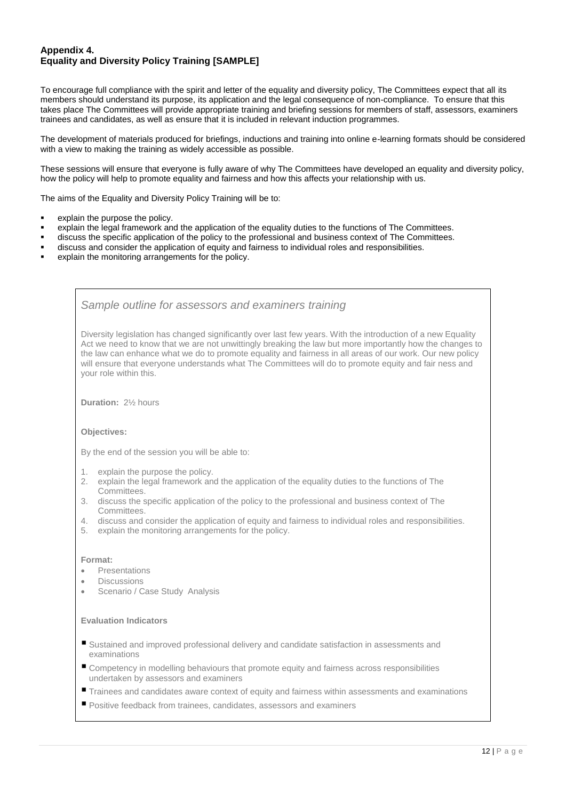# **Appendix 4. Equality and Diversity Policy Training [SAMPLE]**

To encourage full compliance with the spirit and letter of the equality and diversity policy, The Committees expect that all its members should understand its purpose, its application and the legal consequence of non-compliance. To ensure that this takes place The Committees will provide appropriate training and briefing sessions for members of staff, assessors, examiners trainees and candidates, as well as ensure that it is included in relevant induction programmes.

The development of materials produced for briefings, inductions and training into online e-learning formats should be considered with a view to making the training as widely accessible as possible.

These sessions will ensure that everyone is fully aware of why The Committees have developed an equality and diversity policy, how the policy will help to promote equality and fairness and how this affects your relationship with us.

The aims of the Equality and Diversity Policy Training will be to:

- explain the purpose the policy.
- explain the legal framework and the application of the equality duties to the functions of The Committees.
- discuss the specific application of the policy to the professional and business context of The Committees.
- discuss and consider the application of equity and fairness to individual roles and responsibilities.
- explain the monitoring arrangements for the policy.

*Sample outline for assessors and examiners training*

Diversity legislation has changed significantly over last few years. With the introduction of a new Equality Act we need to know that we are not unwittingly breaking the law but more importantly how the changes to the law can enhance what we do to promote equality and fairness in all areas of our work. Our new policy will ensure that everyone understands what The Committees will do to promote equity and fair ness and your role within this.

**Duration:** 2½ hours

#### **Objectives:**

By the end of the session you will be able to:

- 1. explain the purpose the policy.
- 2. explain the legal framework and the application of the equality duties to the functions of The Committees.
- 3. discuss the specific application of the policy to the professional and business context of The Committees.
- 4. discuss and consider the application of equity and fairness to individual roles and responsibilities.
- 5. explain the monitoring arrangements for the policy.

#### **Format:**

- Presentations
- **Discussions**
- Scenario / Case Study Analysis

#### **Evaluation Indicators**

- Sustained and improved professional delivery and candidate satisfaction in assessments and examinations
- Competency in modelling behaviours that promote equity and fairness across responsibilities undertaken by assessors and examiners
- **Trainees and candidates aware context of equity and fairness within assessments and examinations**
- **Positive feedback from trainees, candidates, assessors and examiners**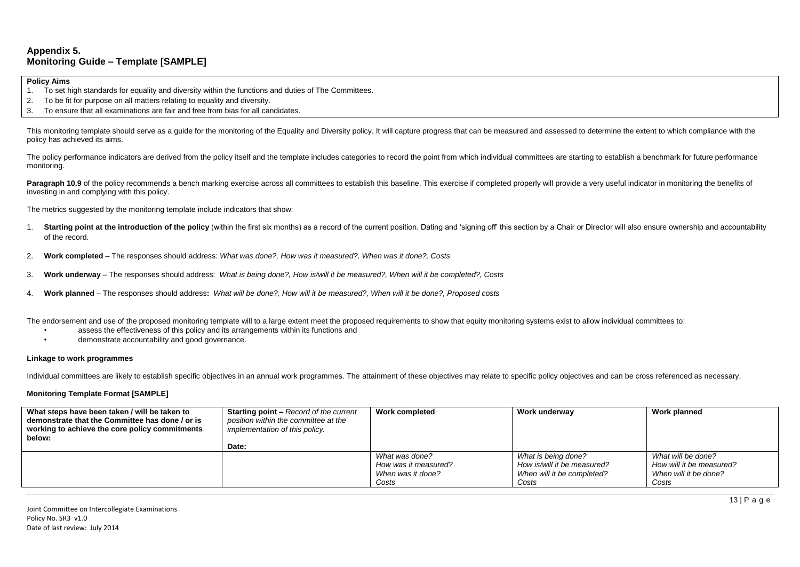#### **Policy Aims**

- 1. To set high standards for equality and diversity within the functions and duties of The Committees.
- 2. To be fit for purpose on all matters relating to equality and diversity.
- 3. To ensure that all examinations are fair and free from bias for all candidates.

This monitoring template should serve as a quide for the monitoring of the Equality and Diversity policy. It will capture progress that can be measured and assessed to determine the extent to which compliance with the policy has achieved its aims.

The policy performance indicators are derived from the policy itself and the template includes categories to record the point from which individual committees are starting to establish a benchmark for future performance monitoring.

Paragraph 10.9 of the policy recommends a bench marking exercise across all committees to establish this baseline. This exercise if completed properly will provide a very useful indicator in monitoring the benefits of investing in and complying with this policy.

The metrics suggested by the monitoring template include indicators that show:

- 1. Starting point at the introduction of the policy (within the first six months) as a record of the current position. Dating and 'signing off this section by a Chair or Director will also ensure ownership and accountabili of the record.
- 2. **Work completed** The responses should address: *What was done?, How was it measured?, When was it done?, Costs*
- 3. **Work underway** The responses should address: *What is being done?, How is/will it be measured?, When will it be completed?, Costs*
- 4. **Work planned**  The responses should address**:** *What will be done?, How will it be measured?, When will it be done?, Proposed costs*

The endorsement and use of the proposed monitoring template will to a large extent meet the proposed requirements to show that equity monitoring systems exist to allow individual committees to:

- assess the effectiveness of this policy and its arrangements within its functions and
- demonstrate accountability and good governance.

#### **Linkage to work programmes**

Individual committees are likely to establish specific objectives in an annual work programmes. The attainment of these objectives may relate to specific policy objectives and can be cross referenced as necessary.

#### **Monitoring Template Format [SAMPLE]**

| What steps have been taken / will be taken to<br>demonstrate that the Committee has done / or is<br>working to achieve the core policy commitments<br>below: | <b>Starting point – Record of the current</b><br>position within the committee at the<br>implementation of this policy.<br>Date: | <b>Work completed</b>                                                | Work underway                                                                             | Work planned                                                                     |
|--------------------------------------------------------------------------------------------------------------------------------------------------------------|----------------------------------------------------------------------------------------------------------------------------------|----------------------------------------------------------------------|-------------------------------------------------------------------------------------------|----------------------------------------------------------------------------------|
|                                                                                                                                                              |                                                                                                                                  | What was done?<br>How was it measured?<br>When was it done?<br>Costs | What is being done?<br>How is/will it be measured?<br>When will it be completed?<br>Costs | What will be done?<br>How will it be measured?<br>When will it be done?<br>Costs |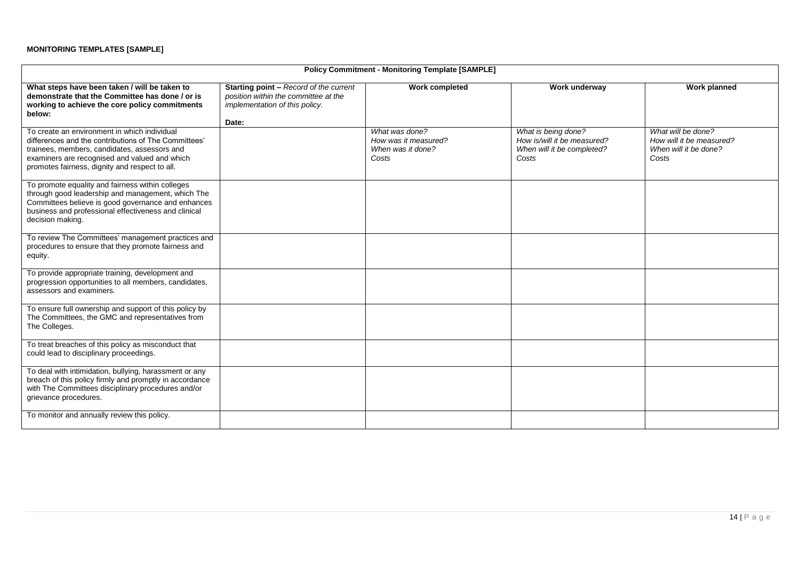| <b>Policy Commitment - Monitoring Template [SAMPLE]</b>                                                                                                                                                                                                 |                                                                                                                                  |                                                                      |                                                                                           |                                                                                  |  |
|---------------------------------------------------------------------------------------------------------------------------------------------------------------------------------------------------------------------------------------------------------|----------------------------------------------------------------------------------------------------------------------------------|----------------------------------------------------------------------|-------------------------------------------------------------------------------------------|----------------------------------------------------------------------------------|--|
| What steps have been taken / will be taken to<br>demonstrate that the Committee has done / or is<br>working to achieve the core policy commitments<br>below:                                                                                            | <b>Starting point - Record of the current</b><br>position within the committee at the<br>implementation of this policy.<br>Date: | <b>Work completed</b>                                                | Work underway                                                                             | Work planned                                                                     |  |
| To create an environment in which individual<br>differences and the contributions of The Committees'<br>trainees, members, candidates, assessors and<br>examiners are recognised and valued and which<br>promotes fairness, dignity and respect to all. |                                                                                                                                  | What was done?<br>How was it measured?<br>When was it done?<br>Costs | What is being done?<br>How is/will it be measured?<br>When will it be completed?<br>Costs | What will be done?<br>How will it be measured?<br>When will it be done?<br>Costs |  |
| To promote equality and fairness within colleges<br>through good leadership and management, which The<br>Committees believe is good governance and enhances<br>business and professional effectiveness and clinical<br>decision making.                 |                                                                                                                                  |                                                                      |                                                                                           |                                                                                  |  |
| To review The Committees' management practices and<br>procedures to ensure that they promote fairness and<br>equity.                                                                                                                                    |                                                                                                                                  |                                                                      |                                                                                           |                                                                                  |  |
| To provide appropriate training, development and<br>progression opportunities to all members, candidates,<br>assessors and examiners.                                                                                                                   |                                                                                                                                  |                                                                      |                                                                                           |                                                                                  |  |
| To ensure full ownership and support of this policy by<br>The Committees, the GMC and representatives from<br>The Colleges.                                                                                                                             |                                                                                                                                  |                                                                      |                                                                                           |                                                                                  |  |
| To treat breaches of this policy as misconduct that<br>could lead to disciplinary proceedings.                                                                                                                                                          |                                                                                                                                  |                                                                      |                                                                                           |                                                                                  |  |
| To deal with intimidation, bullying, harassment or any<br>breach of this policy firmly and promptly in accordance<br>with The Committees disciplinary procedures and/or<br>grievance procedures.                                                        |                                                                                                                                  |                                                                      |                                                                                           |                                                                                  |  |
| To monitor and annually review this policy.                                                                                                                                                                                                             |                                                                                                                                  |                                                                      |                                                                                           |                                                                                  |  |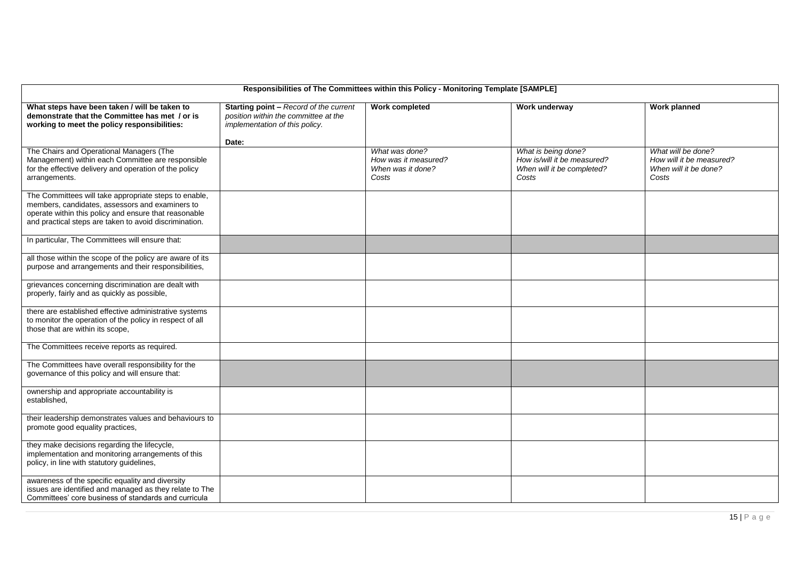| Responsibilities of The Committees within this Policy - Monitoring Template [SAMPLE]                                                                                                                                        |                                                                                                                         |                                                                      |                                                                                           |                                                                                  |
|-----------------------------------------------------------------------------------------------------------------------------------------------------------------------------------------------------------------------------|-------------------------------------------------------------------------------------------------------------------------|----------------------------------------------------------------------|-------------------------------------------------------------------------------------------|----------------------------------------------------------------------------------|
| What steps have been taken / will be taken to<br>demonstrate that the Committee has met / or is<br>working to meet the policy responsibilities:                                                                             | <b>Starting point - Record of the current</b><br>position within the committee at the<br>implementation of this policy. | <b>Work completed</b>                                                | Work underway                                                                             | <b>Work planned</b>                                                              |
| The Chairs and Operational Managers (The<br>Management) within each Committee are responsible<br>for the effective delivery and operation of the policy<br>arrangements.                                                    | Date:                                                                                                                   | What was done?<br>How was it measured?<br>When was it done?<br>Costs | What is being done?<br>How is/will it be measured?<br>When will it be completed?<br>Costs | What will be done?<br>How will it be measured?<br>When will it be done?<br>Costs |
| The Committees will take appropriate steps to enable,<br>members, candidates, assessors and examiners to<br>operate within this policy and ensure that reasonable<br>and practical steps are taken to avoid discrimination. |                                                                                                                         |                                                                      |                                                                                           |                                                                                  |
| In particular, The Committees will ensure that:                                                                                                                                                                             |                                                                                                                         |                                                                      |                                                                                           |                                                                                  |
| all those within the scope of the policy are aware of its<br>purpose and arrangements and their responsibilities,                                                                                                           |                                                                                                                         |                                                                      |                                                                                           |                                                                                  |
| grievances concerning discrimination are dealt with<br>properly, fairly and as quickly as possible,                                                                                                                         |                                                                                                                         |                                                                      |                                                                                           |                                                                                  |
| there are established effective administrative systems<br>to monitor the operation of the policy in respect of all<br>those that are within its scope,                                                                      |                                                                                                                         |                                                                      |                                                                                           |                                                                                  |
| The Committees receive reports as required.                                                                                                                                                                                 |                                                                                                                         |                                                                      |                                                                                           |                                                                                  |
| The Committees have overall responsibility for the<br>governance of this policy and will ensure that:                                                                                                                       |                                                                                                                         |                                                                      |                                                                                           |                                                                                  |
| ownership and appropriate accountability is<br>established,                                                                                                                                                                 |                                                                                                                         |                                                                      |                                                                                           |                                                                                  |
| their leadership demonstrates values and behaviours to<br>promote good equality practices,                                                                                                                                  |                                                                                                                         |                                                                      |                                                                                           |                                                                                  |
| they make decisions regarding the lifecycle,<br>implementation and monitoring arrangements of this<br>policy, in line with statutory guidelines,                                                                            |                                                                                                                         |                                                                      |                                                                                           |                                                                                  |
| awareness of the specific equality and diversity<br>issues are identified and managed as they relate to The<br>Committees' core business of standards and curricula                                                         |                                                                                                                         |                                                                      |                                                                                           |                                                                                  |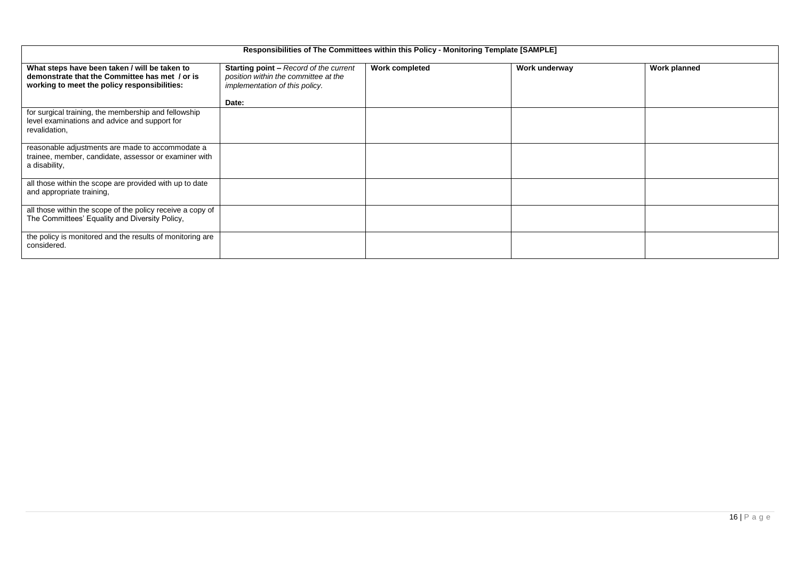| Responsibilities of The Committees within this Policy - Monitoring Template [SAMPLE]                                                            |                                                                                                                  |                       |               |              |
|-------------------------------------------------------------------------------------------------------------------------------------------------|------------------------------------------------------------------------------------------------------------------|-----------------------|---------------|--------------|
| What steps have been taken / will be taken to<br>demonstrate that the Committee has met / or is<br>working to meet the policy responsibilities: | Starting point - Record of the current<br>position within the committee at the<br>implementation of this policy. | <b>Work completed</b> | Work underway | Work planned |
| for surgical training, the membership and fellowship<br>level examinations and advice and support for<br>revalidation,                          | Date:                                                                                                            |                       |               |              |
| reasonable adjustments are made to accommodate a<br>trainee, member, candidate, assessor or examiner with<br>a disability,                      |                                                                                                                  |                       |               |              |
| all those within the scope are provided with up to date<br>and appropriate training,                                                            |                                                                                                                  |                       |               |              |
| all those within the scope of the policy receive a copy of<br>The Committees' Equality and Diversity Policy,                                    |                                                                                                                  |                       |               |              |
| the policy is monitored and the results of monitoring are<br>considered.                                                                        |                                                                                                                  |                       |               |              |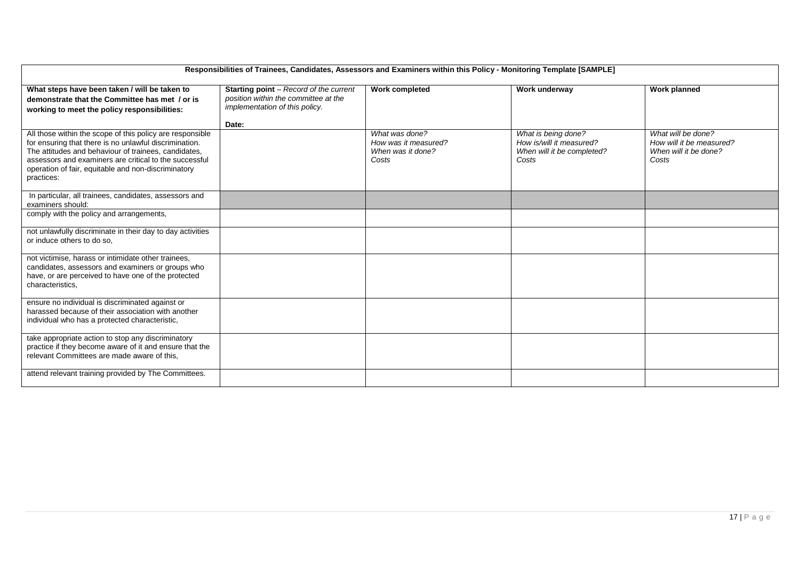| Responsibilities of Trainees, Candidates, Assessors and Examiners within this Policy - Monitoring Template [SAMPLE]                                                                                                                                                                                        |                                                                                                                           |                                                                      |                                                                                        |                                                                                  |
|------------------------------------------------------------------------------------------------------------------------------------------------------------------------------------------------------------------------------------------------------------------------------------------------------------|---------------------------------------------------------------------------------------------------------------------------|----------------------------------------------------------------------|----------------------------------------------------------------------------------------|----------------------------------------------------------------------------------|
| What steps have been taken / will be taken to<br>demonstrate that the Committee has met / or is<br>working to meet the policy responsibilities:                                                                                                                                                            | Starting point - Record of the current<br>position within the committee at the<br>implementation of this policy.<br>Date: | <b>Work completed</b>                                                | Work underway                                                                          | Work planned                                                                     |
| All those within the scope of this policy are responsible<br>for ensuring that there is no unlawful discrimination.<br>The attitudes and behaviour of trainees, candidates,<br>assessors and examiners are critical to the successful<br>operation of fair, equitable and non-discriminatory<br>practices: |                                                                                                                           | What was done?<br>How was it measured?<br>When was it done?<br>Costs | What is being done?<br>How is/will it measured?<br>When will it be completed?<br>Costs | What will be done?<br>How will it be measured?<br>When will it be done?<br>Costs |
| In particular, all trainees, candidates, assessors and<br>examiners should:                                                                                                                                                                                                                                |                                                                                                                           |                                                                      |                                                                                        |                                                                                  |
| comply with the policy and arrangements,                                                                                                                                                                                                                                                                   |                                                                                                                           |                                                                      |                                                                                        |                                                                                  |
| not unlawfully discriminate in their day to day activities<br>or induce others to do so,                                                                                                                                                                                                                   |                                                                                                                           |                                                                      |                                                                                        |                                                                                  |
| not victimise, harass or intimidate other trainees,<br>candidates, assessors and examiners or groups who<br>have, or are perceived to have one of the protected<br>characteristics.                                                                                                                        |                                                                                                                           |                                                                      |                                                                                        |                                                                                  |
| ensure no individual is discriminated against or<br>harassed because of their association with another<br>individual who has a protected characteristic,                                                                                                                                                   |                                                                                                                           |                                                                      |                                                                                        |                                                                                  |
| take appropriate action to stop any discriminatory<br>practice if they become aware of it and ensure that the<br>relevant Committees are made aware of this,                                                                                                                                               |                                                                                                                           |                                                                      |                                                                                        |                                                                                  |
| attend relevant training provided by The Committees.                                                                                                                                                                                                                                                       |                                                                                                                           |                                                                      |                                                                                        |                                                                                  |